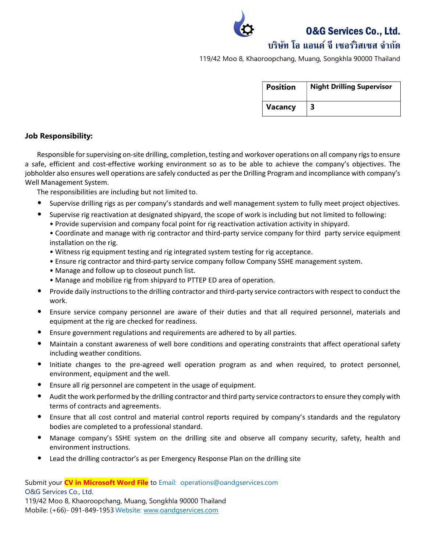O&G Services Co., Ltd.

# บริษทั โอ แอนด์จีเซอรว์ิสเซส จํากดั

119/42 Moo 8, Khaoroopchang, Muang, Songkhla 90000 Thailand

| <b>Position</b> | <b>Night Drilling Supervisor</b> |
|-----------------|----------------------------------|
| <b>Vacancy</b>  |                                  |

### Job Responsibility:

Responsible for supervising on-site drilling, completion, testing and workover operations on all company rigs to ensure a safe, efficient and cost-effective working environment so as to be able to achieve the company's objectives. The jobholder also ensures well operations are safely conducted as per the Drilling Program and incompliance with company's Well Management System.

The responsibilities are including but not limited to.

- Supervise drilling rigs as per company's standards and well management system to fully meet project objectives.
	- Supervise rig reactivation at designated shipyard, the scope of work is including but not limited to following:
		- Provide supervision and company focal point for rig reactivation activation activity in shipyard.

• Coordinate and manage with rig contractor and third-party service company for third party service equipment installation on the rig.

- Witness rig equipment testing and rig integrated system testing for rig acceptance.
- Ensure rig contractor and third-party service company follow Company SSHE management system.
- Manage and follow up to closeout punch list.
- Manage and mobilize rig from shipyard to PTTEP ED area of operation.
- Provide daily instructions to the drilling contractor and third-party service contractors with respect to conduct the work.
- Ensure service company personnel are aware of their duties and that all required personnel, materials and equipment at the rig are checked for readiness.
- Ensure government regulations and requirements are adhered to by all parties.
- Maintain a constant awareness of well bore conditions and operating constraints that affect operational safety including weather conditions.
- Initiate changes to the pre-agreed well operation program as and when required, to protect personnel, environment, equipment and the well.
- Ensure all rig personnel are competent in the usage of equipment.
- Audit the work performed by the drilling contractor and third party service contractors to ensure they comply with terms of contracts and agreements.
- Ensure that all cost control and material control reports required by company's standards and the regulatory bodies are completed to a professional standard.
- Manage company's SSHE system on the drilling site and observe all company security, safety, health and environment instructions.
- Lead the drilling contractor's as per Emergency Response Plan on the drilling site